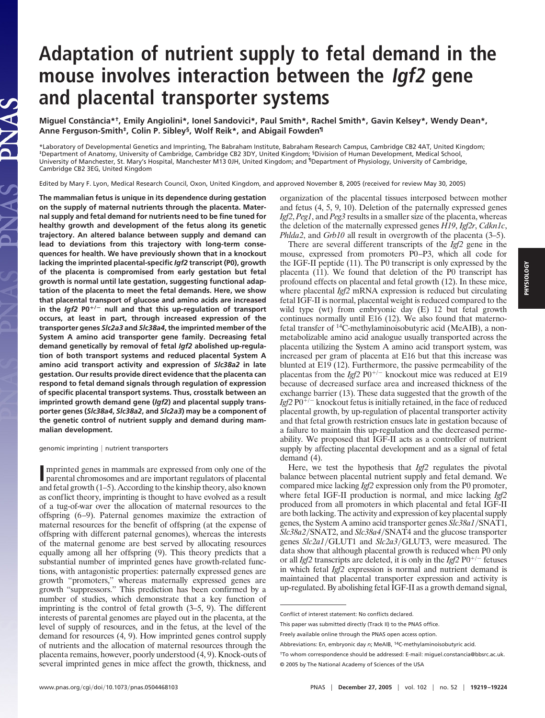# **Adaptation of nutrient supply to fetal demand in the mouse involves interaction between the Igf2 gene and placental transporter systems**

**Miguel Constância\*†, Emily Angiolini\*, Ionel Sandovici\*, Paul Smith\*, Rachel Smith\*, Gavin Kelsey\*, Wendy Dean\*, Anne Ferguson-Smith‡, Colin P. Sibley§, Wolf Reik\*, and Abigail Fowden¶**

\*Laboratory of Developmental Genetics and Imprinting, The Babraham Institute, Babraham Research Campus, Cambridge CB2 4AT, United Kingdom;<br>‡Department of Anatomy, University of Cambridge, Cambridge CB2 3DY, United Kingdom; University of Manchester, St. Mary's Hospital, Manchester M13 0JH, United Kingdom; and ¶Department of Physiology, University of Cambridge, Cambridge CB2 3EG, United Kingdom

Edited by Mary F. Lyon, Medical Research Council, Oxon, United Kingdom, and approved November 8, 2005 (received for review May 30, 2005)

**The mammalian fetus is unique in its dependence during gestation on the supply of maternal nutrients through the placenta. Maternal supply and fetal demand for nutrients need to be fine tuned for healthy growth and development of the fetus along its genetic trajectory. An altered balance between supply and demand can lead to deviations from this trajectory with long-term consequences for health. We have previously shown that in a knockout lacking the imprinted placental-specific** *Igf2* **transcript (P0), growth of the placenta is compromised from early gestation but fetal growth is normal until late gestation, suggesting functional adaptation of the placenta to meet the fetal demands. Here, we show that placental transport of glucose and amino acids are increased in the** *Igf2* **P0/**- **null and that this up-regulation of transport occurs, at least in part, through increased expression of the transporter genes** *Slc2a3* **and** *Slc38a4***, the imprinted member of the System A amino acid transporter gene family. Decreasing fetal demand genetically by removal of fetal** *Igf2* **abolished up-regulation of both transport systems and reduced placental System A amino acid transport activity and expression of** *Slc38a2* **in late gestation. Our results provide direct evidence that the placenta can respond to fetal demand signals through regulation of expression of specific placental transport systems. Thus, crosstalk between an imprinted growth demand gene (***Igf2***) and placental supply transporter genes (***Slc38a4***,** *Slc38a2***, and** *Slc2a3***) may be a component of the genetic control of nutrient supply and demand during mammalian development.**

#### $q$ enomic imprinting  $|$  nutrient transporters

VAS

Imprinted genes in mammals are expressed from only one of the parental chromosomes and are important regulators of placental and fetal growth (1–5). According to the kinship theory, also known mprinted genes in mammals are expressed from only one of the parental chromosomes and are important regulators of placental as conflict theory, imprinting is thought to have evolved as a result of a tug-of-war over the allocation of maternal resources to the offspring (6–9). Paternal genomes maximize the extraction of maternal resources for the benefit of offspring (at the expense of offspring with different paternal genomes), whereas the interests of the maternal genome are best served by allocating resources equally among all her offspring (9). This theory predicts that a substantial number of imprinted genes have growth-related functions, with antagonistic properties: paternally expressed genes are growth ''promoters,'' whereas maternally expressed genes are growth ''suppressors.'' This prediction has been confirmed by a number of studies, which demonstrate that a key function of imprinting is the control of fetal growth (3–5, 9). The different interests of parental genomes are played out in the placenta, at the level of supply of resources, and in the fetus, at the level of the demand for resources (4, 9). How imprinted genes control supply of nutrients and the allocation of maternal resources through the placenta remains, however, poorly understood (4, 9). Knock-outs of several imprinted genes in mice affect the growth, thickness, and

organization of the placental tissues interposed between mother and fetus (4, 5, 9, 10). Deletion of the paternally expressed genes *Igf2*, *Peg1*, and *Peg3* results in a smaller size of the placenta, whereas the deletion of the maternally expressed genes *H19*, *Igf2r*, *Cdkn1c*, *Phlda2*, and *Grb10* all result in overgrowth of the placenta (3–5).

There are several different transcripts of the *Igf2* gene in the mouse, expressed from promoters P0–P3, which all code for the IGF-II peptide (11). The P0 transcript is only expressed by the placenta (11). We found that deletion of the P0 transcript has profound effects on placental and fetal growth (12). In these mice, where placental *Igf2* mRNA expression is reduced but circulating fetal IGF-II is normal, placental weight is reduced compared to the wild type (wt) from embryonic day (E) 12 but fetal growth continues normally until E16 (12). We also found that maternofetal transfer of 14C-methylaminoisobutyric acid (MeAIB), a nonmetabolizable amino acid analogue usually transported across the placenta utilizing the System A amino acid transport system, was increased per gram of placenta at E16 but that this increase was blunted at E19 (12). Furthermore, the passive permeability of the placentas from the *Igf2* P0<sup>+/-</sup> knockout mice was reduced at E19 because of decreased surface area and increased thickness of the exchange barrier (13). These data suggested that the growth of the  $Igf2$  PO<sup> $+/-$ </sup> knockout fetus is initially retained, in the face of reduced placental growth, by up-regulation of placental transporter activity and that fetal growth restriction ensues late in gestation because of a failure to maintain this up-regulation and the decreased permeability. We proposed that IGF-II acts as a controller of nutrient supply by affecting placental development and as a signal of fetal demand (4).

Here, we test the hypothesis that *Igf2* regulates the pivotal balance between placental nutrient supply and fetal demand. We compared mice lacking *Igf2* expression only from the P0 promoter, where fetal IGF-II production is normal, and mice lacking *Igf2* produced from all promoters in which placental and fetal IGF-II are both lacking. The activity and expression of key placental supply genes, the System A amino acid transporter genes *Slc38a1*-SNAT1, Slc38a2/SNAT2, and Slc38a4/SNAT4 and the glucose transporter genes *Slc2a1*/GLUT1 and *Slc2a3*/GLUT3, were measured. The data show that although placental growth is reduced when P0 only or all *Igf2* transcripts are deleted, it is only in the *Igf2*  $P0^{+/-}$  fetuses in which fetal *Igf2* expression is normal and nutrient demand is maintained that placental transporter expression and activity is up-regulated. By abolishing fetal IGF-II as a growth demand signal,

Conflict of interest statement: No conflicts declared.

This paper was submitted directly (Track II) to the PNAS office.

Freely available online through the PNAS open access option.

Abbreviations: E*n*, embryonic day *n*; MeAIB, 14C-methylaminoisobutyric acid.

<sup>†</sup>To whom correspondence should be addressed: E-mail: miguel.constancia@bbsrc.ac.uk. © 2005 by The National Academy of Sciences of the USA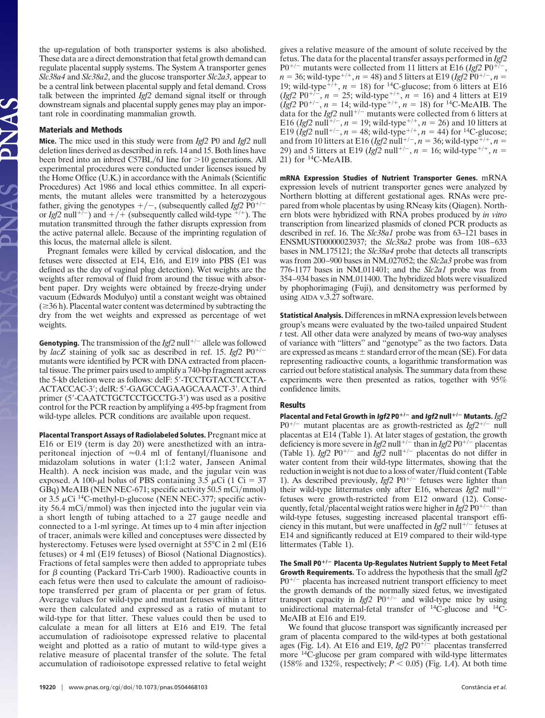the up-regulation of both transporter systems is also abolished. These data are a direct demonstration that fetal growth demand can regulate placental supply systems. The System A transporter genes *Slc38a4* and *Slc38a2*, and the glucose transporter *Slc2a3*, appear to be a central link between placental supply and fetal demand. Cross talk between the imprinted *Igf2* demand signal itself or through downstream signals and placental supply genes may play an important role in coordinating mammalian growth.

## **Materials and Methods**

**Mice.** The mice used in this study were from *Igf2* P0 and *Igf2* null deletion lines derived as described in refs. 14 and 15. Both lines have been bred into an inbred C57BL/6J line for >10 generations. All experimental procedures were conducted under licenses issued by the Home Office (U.K.) in accordance with the Animals (Scientific Procedures) Act 1986 and local ethics committee. In all experiments, the mutant alleles were transmitted by a heterozygous father, giving the genotypes  $+/-$ , (subsequently called *Igf2* P0<sup>+/-</sup> or *Igf*2 null<sup>+7-</sup>) and  $+$ /+ (subsequently called wild-type  $+i$ <sup>+</sup>). The mutation transmitted through the father disrupts expression from the active paternal allele. Because of the imprinting regulation of this locus, the maternal allele is silent.

Pregnant females were killed by cervical dislocation, and the fetuses were dissected at E14, E16, and E19 into PBS (E1 was defined as the day of vaginal plug detection). Wet weights are the weights after removal of fluid from around the tissue with absorbent paper. Dry weights were obtained by freeze-drying under vacuum (Edwards Modulyo) until a constant weight was obtained  $(\geq 36 h)$ . Placental water content was determined by subtracting the dry from the wet weights and expressed as percentage of wet weights.

**Genotyping.** The transmission of the  $Igf2$  null<sup>+/-</sup> allele was followed by  $lacZ$  staining of yolk sac as described in ref. 15.  $Igf2$  P0<sup>+/</sup> mutants were identified by PCR with DNA extracted from placental tissue. The primer pairs used to amplify a 740-bp fragment across the 5-kb deletion were as follows: delF: 5'-TCCTGTACCTCCTA-ACTACCAC-3'; delR: 5'-GAGCCAGAAGCAAACT-3'. A third primer (5'-CAATCTGCTCCTGCCTG-3') was used as a positive control for the PCR reaction by amplifying a 495-bp fragment from wild-type alleles. PCR conditions are available upon request.

**Placental Transport Assays of Radiolabeled Solutes.** Pregnant mice at E16 or E19 (term is day 20) were anesthetized with an intraperitoneal injection of  $\approx 0.4$  ml of fentanyl/fluanisone and midazolam solutions in water (1:1:2 water, Janseen Animal Health). A neck incision was made, and the jugular vein was exposed. A 100- $\mu$ l bolus of PBS containing 3.5  $\mu$ Ci (1 Ci = 37 GBq) MeAIB (NEN NEC-671; specific activity 50.5 mCi/mmol) or  $3.5 \mu$ Ci <sup>14</sup>C-methyl-D-glucose (NEN NEC-377; specific activity 56.4 mCi/mmol) was then injected into the jugular vein via a short length of tubing attached to a 27 gauge needle and connected to a 1-ml syringe. At times up to 4 min after injection of tracer, animals were killed and conceptuses were dissected by hysterectomy. Fetuses were lysed overnight at 55°C in 2 ml (E16 fetuses) or 4 ml (E19 fetuses) of Biosol (National Diagnostics). Fractions of fetal samples were then added to appropriate tubes for  $\beta$  counting (Packard Tri-Carb 1900). Radioactive counts in each fetus were then used to calculate the amount of radioisotope transferred per gram of placenta or per gram of fetus. Average values for wild-type and mutant fetuses within a litter were then calculated and expressed as a ratio of mutant to wild-type for that litter. These values could then be used to calculate a mean for all litters at E16 and E19. The fetal accumulation of radioisotope expressed relative to placental weight and plotted as a ratio of mutant to wild-type gives a relative measure of placental transfer of the solute. The fetal accumulation of radioisotope expressed relative to fetal weight gives a relative measure of the amount of solute received by the fetus. The data for the placental transfer assays performed in *Igf2*  $P0^{+/-}$  mutants were collected from 11 litters at E16 (*Igf2* P0<sup>+/-</sup>,  $n = 36$ ; wild-type<sup>+/+</sup>,  $n = 48$ ) and 5 litters at E19 (*Igf2* P0<sup>+/-</sup>,  $n =$ 19; wild-type<sup> $+i+$ </sup>,  $n = 18$ ) for <sup>14</sup>C-glucose; from 6 litters at E16  $(Igf2 P0^{+/-}, n = 25$ ; wild-type<sup>+/+</sup>,  $n = 16$ ) and 4 litters at E19  $(\text{Igf2 P0}^{+/-}, n = 14; \text{ wild-type}^{+/+}, n = 18) \text{ for } ^{14}C\text{-MeAIB}.$  The data for the  $Igf2$  null<sup>+/-</sup> mutants were collected from 6 litters at E16 (*Igf*2 null<sup> $+/-$ </sup>,  $n = 19$ ; wild-type<sup> $+/+$ </sup>,  $n = 26$ ) and 10 litters at E19 ( $\ell \bar{g}f2$  null<sup>+/-</sup>,  $n = 48$ ; wild-type<sup>+/+</sup>,  $n = 44$ ) for <sup>14</sup>C-glucose; and from 10 litters at E16 (*Igf2* null<sup>+/-</sup>,  $n = 36$ ; wild-type<sup>+/+</sup>,  $n =$ 29) and 5 litters at E19 (*Igf*2 null<sup>+/-</sup>,  $n = 16$ ; wild-type<sup>+/+</sup>,  $n =$ 21) for  $^{14}$ C-MeAIB.

**mRNA Expression Studies of Nutrient Transporter Genes.** mRNA expression levels of nutrient transporter genes were analyzed by Northern blotting at different gestational ages. RNAs were prepared from whole placentas by using RNeasy kits (Qiagen). Northern blots were hybridized with RNA probes produced by *in vitro* transcription from linearized plasmids of cloned PCR products as described in ref. 16. The *Slc38a1* probe was from 63–121 bases in ENSMUST00000023937; the *Slc38a2* probe was from 108–633 bases in NM175121; the *Slc38a4* probe that detects all transcripts was from 200–900 bases in NM027052; the *Slc2a3* probe was from 776-1177 bases in NM<sub>-011401</sub>; and the *Slc2a1* probe was from 354–934 bases in NM011400. The hybridized blots were visualized by phophorimaging (Fuji), and densitometry was performed by using AIDA v.3.27 software.

**Statistical Analysis.** Differences in mRNA expression levels between group's means were evaluated by the two-tailed unpaired Student *t* test. All other data were analyzed by means of two-way analyses of variance with ''litters'' and ''genotype'' as the two factors. Data are expressed as means  $\pm$  standard error of the mean (SE). For data representing radioactive counts, a logarithmic transformation was carried out before statistical analysis. The summary data from these experiments were then presented as ratios, together with 95% confidence limits.

## **Results**

**Placental and Fetal Growth in Igf2 P0/**- **and Igf2 null/**- **Mutants.***Igf2*  $P0^{+/-}$  mutant placentas are as growth-restricted as  $Igf2^{+/-}$  null placentas at E14 (Table 1). At later stages of gestation, the growth deficiency is more severe in *Igf2* null<sup>+/-</sup> than in *Igf2* P0<sup>+/-</sup> placentas (Table 1). *Igf2* P0<sup>+/-</sup> and *Igf2* null<sup>+/-</sup> placentas do not differ in water content from their wild-type littermates, showing that the reduction in weight is not due to a loss of water/fluid content (Table 1). As described previously,  $Igf2 P0^{+/-}$  fetuses were lighter than their wild-type littermates only after E16, whereas  $Igf2$  null<sup>+/-</sup> fetuses were growth-restricted from E12 onward (12). Consequently, fetal/placental weight ratios were higher in *Igf2* P0<sup>+/-</sup> than wild-type fetuses, suggesting increased placental transport efficiency in this mutant, but were unaffected in  $Igf2$  null<sup>+/-</sup> fetuses at E14 and significantly reduced at E19 compared to their wild-type littermates (Table 1).

**The Small P0/**- **Placenta Up-Regulates Nutrient Supply to Meet Fetal Growth Requirements.** To address the hypothesis that the small *Igf2*  $P0^{+/-}$  placenta has increased nutrient transport efficiency to meet the growth demands of the normally sized fetus, we investigated transport capacity in  $Igf2$  P0<sup>+/-</sup> and wild-type mice by using unidirectional maternal-fetal transfer of 14C-glucose and 14C-MeAIB at E16 and E19.

We found that glucose transport was significantly increased per gram of placenta compared to the wild-types at both gestational ages (Fig. 1*A*). At E16 and E19, *Igf2*  $P0^{+/-}$  placentas transferred more <sup>14</sup>C-glucose per gram compared with wild-type littermates (158% and 132%, respectively;  $P < 0.05$ ) (Fig. 1*A*). At both time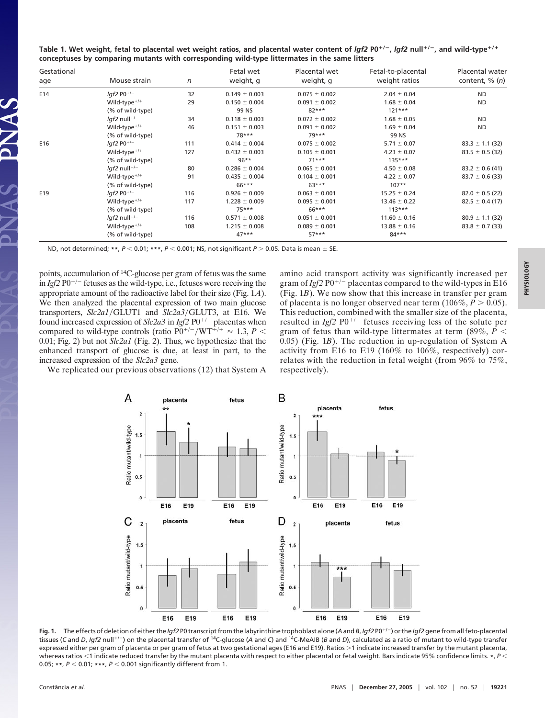|  | Table 1. Wet weight, fetal to placental wet weight ratios, and placental water content of Igf2 P0 <sup>+/-</sup> , Igf2 null <sup>+/-</sup> , and wild-type <sup>+/+</sup> |  |  |
|--|----------------------------------------------------------------------------------------------------------------------------------------------------------------------------|--|--|
|  | conceptuses by comparing mutants with corresponding wild-type littermates in the same litters                                                                              |  |  |

| Gestational<br>age | Mouse strain               | n   | Fetal wet<br>weight, g | Placental wet<br>weight, g | Fetal-to-placental<br>weight ratios | <b>Placental water</b><br>content, $\%$ $(n)$ |
|--------------------|----------------------------|-----|------------------------|----------------------------|-------------------------------------|-----------------------------------------------|
| E14                | $I$ af2 P0 <sup>+/-</sup>  | 32  | $0.149 \pm 0.003$      | $0.075 \pm 0.002$          | $2.04 \pm 0.04$                     | <b>ND</b>                                     |
|                    | Wild-type $^{+/+}$         | 29  | $0.150 \pm 0.004$      | $0.091 \pm 0.002$          | $1.68 \pm 0.04$                     | <b>ND</b>                                     |
|                    | (% of wild-type)           |     | 99 NS                  | $82***$                    | $121***$                            |                                               |
|                    | $Iqf2$ null <sup>+/-</sup> | 34  | $0.118 \pm 0.003$      | $0.072 \pm 0.002$          | $1.68 \pm 0.05$                     | <b>ND</b>                                     |
|                    | Wild-type $^{+/+}$         | 46  | $0.151 \pm 0.003$      | $0.091 \pm 0.002$          | $1.69 \pm 0.04$                     | <b>ND</b>                                     |
|                    | (% of wild-type)           |     | $78***$                | $79***$                    | 99 NS                               |                                               |
| E16                | $Iqf2$ P0 <sup>+/-</sup>   | 111 | $0.414 \pm 0.004$      | $0.075 \pm 0.002$          | $5.71 \pm 0.07$                     | $83.3 \pm 1.1$ (32)                           |
|                    | Wild-type $^{+/+}$         | 127 | $0.432 \pm 0.003$      | $0.105 \pm 0.001$          | $4.23 \pm 0.07$                     | $83.5 \pm 0.5$ (32)                           |
|                    | (% of wild-type)           |     | $96***$                | $71***$                    | $135***$                            |                                               |
|                    | $Iqf2$ null+/-             | 80  | $0.286 \pm 0.004$      | $0.065 \pm 0.001$          | $4.50 \pm 0.08$                     | $83.2 \pm 0.6$ (41)                           |
|                    | Wild-type $^{+/+}$         | 91  | $0.435 \pm 0.004$      | $0.104 \pm 0.001$          | $4.22 \pm 0.07$                     | $83.7 \pm 0.6$ (33)                           |
|                    | (% of wild-type)           |     | 66***                  | $63***$                    | $107**$                             |                                               |
| E19                | $lgf2$ P0 <sup>+/-</sup>   | 116 | $0.926 \pm 0.009$      | $0.063 \pm 0.001$          | $15.25 \pm 0.24$                    | $82.0 \pm 0.5$ (22)                           |
|                    | Wild-type $^{+/+}$         | 117 | $1.228 \pm 0.009$      | $0.095 \pm 0.001$          | $13.46 \pm 0.22$                    | $82.5 \pm 0.4$ (17)                           |
|                    | (% of wild-type)           |     | $75***$                | 66***                      | $113***$                            |                                               |
|                    | $Iqf2$ null <sup>+/-</sup> | 116 | $0.571 \pm 0.008$      | $0.051 \pm 0.001$          | $11.60 \pm 0.16$                    | $80.9 \pm 1.1$ (32)                           |
|                    | Wild-type $^{+/+}$         | 108 | $1.215 \pm 0.008$      | $0.089 \pm 0.001$          | $13.88 \pm 0.16$                    | $83.8 \pm 0.7$ (33)                           |
|                    | (% of wild-type)           |     | $47***$                | $57***$                    | $84***$                             |                                               |

ND, not determined; \*\*,  $P < 0.01$ ; \*\*\*,  $P < 0.001$ ; NS, not significant  $P > 0.05$ . Data is mean  $\pm$  SE.

points, accumulation of 14C-glucose per gram of fetus was the same in  $Igf2$  P0<sup>+/-</sup> fetuses as the wild-type, i.e., fetuses were receiving the appropriate amount of the radioactive label for their size (Fig. 1*A*). We then analyzed the placental expression of two main glucose transporters, *Slc2a1*/GLUT1 and *Slc2a3*/GLUT3, at E16. We found increased expression of  $Slc2a3$  in *Igf2*  $P0^{+/-}$  placentas when compared to wild-type controls (ratio  $P0^{+/-}/W T^{+/+} \approx 1.3, P <$ 0.01; Fig. 2) but not *Slc2a1* (Fig. 2). Thus, we hypothesize that the enhanced transport of glucose is due, at least in part, to the increased expression of the *Slc2a3* gene.

amino acid transport activity was significantly increased per gram of  $Igf2$  P0<sup>+/-</sup> placentas compared to the wild-types in E16 (Fig. 1*B*). We now show that this increase in transfer per gram of placenta is no longer observed near term  $(106\%, P > 0.05)$ . This reduction, combined with the smaller size of the placenta, resulted in  $Igf2$   $P0^{+/-}$  fetuses receiving less of the solute per gram of fetus than wild-type littermates at term  $(89\%, P \le$ 0.05) (Fig. 1*B*). The reduction in up-regulation of System A activity from E16 to E19 (160% to 106%, respectively) correlates with the reduction in fetal weight (from 96% to 75%, respectively).

We replicated our previous observations (12) that System A



**Fig. 1.** The effects of deletion of either the *Igf2* P0 transcript from the labyrinthine trophoblast alone (*A* and *B*, *Igf2* P0/-) or the *Igf2* gene from all feto-placental tissues (C and *D, Igf2* null<sup>+/-</sup>) on the placental transfer of <sup>14</sup>C-glucose (A and C) and <sup>14</sup>C-MeAIB (*B* and *D*), calculated as a ratio of mutant to wild-type transfer expressed either per gram of placenta or per gram of fetus at two gestational ages (E16 and E19). Ratios >1 indicate increased transfer by the mutant placenta, whereas ratios <1 indicate reduced transfer by the mutant placenta with respect to either placental or fetal weight. Bars indicate 95% confidence limits. \*,  $P$  < 0.05; \*\*,  $P < 0.01$ ; \*\*\*,  $P < 0.001$  significantly different from 1.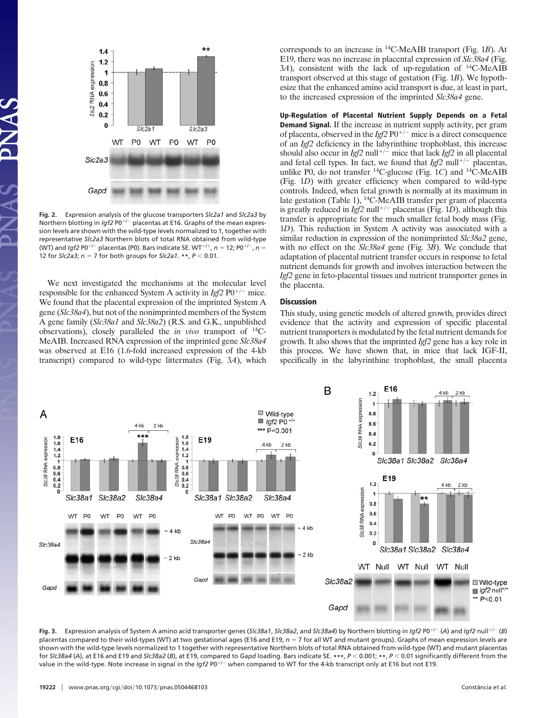

**Fig. 2.** Expression analysis of the glucose transporters *Slc2a1* and *Slc2a3* by Northern blotting in *Igf2* P0<sup>+/-</sup> placentas at E16. Graphs of the mean expression levels are shown with the wild-type levels normalized to 1, together with representative *Slc2a3* Northern blots of total RNA obtained from wild-type (WT) and *Igf2* P0<sup>+/-</sup> placentas (P0). Bars indicate SE. WT<sup>+/+</sup>,  $n = 12$ ; P0<sup>+/-</sup>,  $n =$ 12 for *Slc2a3*; *n* = 7 for both groups for *Slc2a1*. \*\*, *P* < 0.01.

We next investigated the mechanisms at the molecular level responsible for the enhanced System A activity in  $Igf2$  P0<sup>+/-</sup> mice. We found that the placental expression of the imprinted System A gene (*Slc38a4*), but not of the nonimprinted members of the System A gene family (*Slc38a1* and *Slc38a2*) (R.S. and G.K., unpublished observations), closely paralleled the *in vivo* transport of 14C-MeAIB. Increased RNA expression of the imprinted gene *Slc38a4* was observed at E16 (1.6-fold increased expression of the 4-kb transcript) compared to wild-type littermates (Fig. 3*A*), which corresponds to an increase in 14C-MeAIB transport (Fig. 1*B*). At E19, there was no increase in placental expression of *Slc38a4* (Fig. 3*A*), consistent with the lack of up-regulation of 14C-MeAIB transport observed at this stage of gestation (Fig. 1*B*). We hypothesize that the enhanced amino acid transport is due, at least in part, to the increased expression of the imprinted *Slc38a4* gene.

**Up-Regulation of Placental Nutrient Supply Depends on a Fetal Demand Signal.** If the increase in nutrient supply activity, per gram of placenta, observed in the  $Igf2 P0^{+/-}$  mice is a direct consequence of an *Igf2* deficiency in the labyrinthine trophoblast, this increase should also occur in *Igf2* null<sup>+/-</sup> mice that lack *Igf2* in all placental and fetal cell types. In fact, we found that  $Igf2$  null<sup>+/-</sup> placentas, unlike P0, do not transfer  ${}^{14}$ C-glucose (Fig. 1*C*) and  ${}^{14}$ C-MeAIB (Fig. 1*D*) with greater efficiency when compared to wild-type controls. Indeed, when fetal growth is normally at its maximum in late gestation (Table 1), 14C-MeAIB transfer per gram of placenta is greatly reduced in  $Igf2$  null<sup>+/-</sup> placentas (Fig. 1*D*), although this transfer is appropriate for the much smaller fetal body mass (Fig. 1*D*). This reduction in System A activity was associated with a similar reduction in expression of the nonimprinted *Slc38a2* gene, with no effect on the *Slc38a4* gene (Fig. 3*B*). We conclude that adaptation of placental nutrient transfer occurs in response to fetal nutrient demands for growth and involves interaction between the *Igf2* gene in feto-placental tissues and nutrient transporter genes in the placenta.

### **Discussion**

This study, using genetic models of altered growth, provides direct evidence that the activity and expression of specific placental nutrient transporters is modulated by the fetal nutrient demands for growth. It also shows that the imprinted *Igf2* gene has a key role in this process. We have shown that, in mice that lack IGF-II, specifically in the labyrinthine trophoblast, the small placenta



**Fig. 3.** Expression analysis of System A amino acid transporter genes (*Slc38a1*, *Slc38a2*, and *Slc38a4*) by Northern blotting in *Igf2* P0/- (*A*) and *Igf2* null/- (*B*) placentas compared to their wild-types (WT) at two gestational ages (E16 and E19,  $n = 7$  for all WT and mutant groups). Graphs of mean expression levels are shown with the wild-type levels normalized to 1 together with representative Northern blots of total RNA obtained from wild-type (WT) and mutant placentas for *Slc38a4* (*A*), at E16 and E19 and *Slc38a2* (*B*), at E19, compared to *Gapd* loading. Bars indicate SE. **\*\*\***, *P* 0.001; **\*\***, *P* 0.01 significantly different from the value in the wild-type. Note increase in signal in the *Igf2* P0<sup>+/–</sup> when compared to WT for the 4-kb transcript only at E16 but not E19.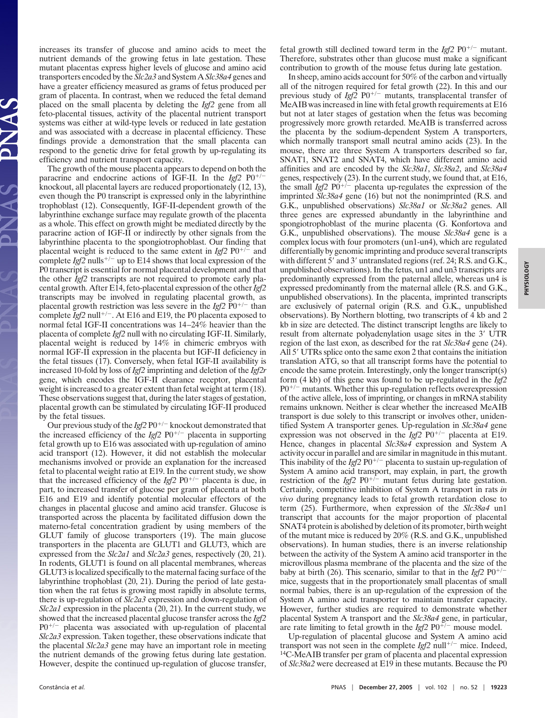increases its transfer of glucose and amino acids to meet the nutrient demands of the growing fetus in late gestation. These mutant placentas express higher levels of glucose and amino acid transporters encoded by the *Slc2a3* and System A *Slc38a4* genes and have a greater efficiency measured as grams of fetus produced per gram of placenta. In contrast, when we reduced the fetal demand placed on the small placenta by deleting the *Igf2* gene from all feto-placental tissues, activity of the placental nutrient transport systems was either at wild-type levels or reduced in late gestation and was associated with a decrease in placental efficiency. These findings provide a demonstration that the small placenta can respond to the genetic drive for fetal growth by up-regulating its efficiency and nutrient transport capacity.

The growth of the mouse placenta appears to depend on both the paracrine and endocrine actions of IGF-II. In the  $Igf2$  P0<sup>+/-</sup> knockout, all placental layers are reduced proportionately (12, 13), even though the P0 transcript is expressed only in the labyrinthine trophoblast (12). Consequently, IGF-II-dependent growth of the labyrinthine exchange surface may regulate growth of the placenta as a whole. This effect on growth might be mediated directly by the paracrine action of IGF-II or indirectly by other signals from the labyrinthine placenta to the spongiotrophoblast. Our finding that placental weight is reduced to the same extent in  $Igf2$  P0<sup>+/-</sup> and complete  $I g f 2$  nulls<sup>+/-</sup> up to E14 shows that local expression of the P0 transcript is essential for normal placental development and that the other *Igf2* transcripts are not required to promote early placental growth. After E14, feto-placental expression of the other*Igf2* transcripts may be involved in regulating placental growth, as placental growth restriction was less severe in the *Igf2*  $\overline{P}0^{+/-}$  than complete  $\overline{I}$ gf2 null<sup>+/-</sup>. At E16 and E19, the P0 placenta exposed to normal fetal IGF-II concentrations was 14–24% heavier than the placenta of complete *Igf2* null with no circulating IGF-II. Similarly, placental weight is reduced by 14% in chimeric embryos with normal IGF-II expression in the placenta but IGF-II deficiency in the fetal tissues (17). Conversely, when fetal IGF-II availability is increased 10-fold by loss of *Igf2* imprinting and deletion of the *Igf2r* gene, which encodes the IGF-II clearance receptor, placental weight is increased to a greater extent than fetal weight at term (18). These observations suggest that, during the later stages of gestation, placental growth can be stimulated by circulating IGF-II produced by the fetal tissues.

Our previous study of the  $Igf2 P0^{+/-}$  knockout demonstrated that the increased efficiency of the  $Igf2$  P0<sup>+/-</sup> placenta in supporting fetal growth up to E16 was associated with up-regulation of amino acid transport (12). However, it did not establish the molecular mechanisms involved or provide an explanation for the increased fetal to placental weight ratio at E19. In the current study, we show that the increased efficiency of the *Igf2*  $P0^{+/-}$  placenta is due, in part, to increased transfer of glucose per gram of placenta at both E16 and E19 and identify potential molecular effectors of the changes in placental glucose and amino acid transfer. Glucose is transported across the placenta by facilitated diffusion down the materno-fetal concentration gradient by using members of the GLUT family of glucose transporters (19). The main glucose transporters in the placenta are GLUT1 and GLUT3, which are expressed from the *Slc2a1* and *Slc2a3* genes, respectively (20, 21). In rodents, GLUT1 is found on all placental membranes, whereas GLUT3 is localized specifically to the maternal facing surface of the labyrinthine trophoblast (20, 21). During the period of late gestation when the rat fetus is growing most rapidly in absolute terms, there is up-regulation of *Slc2a3* expression and down-regulation of *Slc2a1* expression in the placenta (20, 21). In the current study, we showed that the increased placental glucose transfer across the *Igf2*  $P0^{+/-}$  placenta was associated with up-regulation of placental *Slc2a3* expression. Taken together, these observations indicate that the placental *Slc2a3* gene may have an important role in meeting the nutrient demands of the growing fetus during late gestation. However, despite the continued up-regulation of glucose transfer,

fetal growth still declined toward term in the  $Igf2$   $P0^{+/-}$  mutant. Therefore, substrates other than glucose must make a significant contribution to growth of the mouse fetus during late gestation.

In sheep, amino acids account for 50% of the carbon and virtually all of the nitrogen required for fetal growth (22). In this and our previous study of  $Igf2$  P0<sup>+/-</sup> mutants, transplacental transfer of MeAIB was increased in line with fetal growth requirements at E16 but not at later stages of gestation when the fetus was becoming progressively more growth retarded. MeAIB is transferred across the placenta by the sodium-dependent System A transporters, which normally transport small neutral amino acids (23). In the mouse, there are three System A transporters described so far, SNAT1, SNAT2 and SNAT4, which have different amino acid affinities and are encoded by the *Slc38a1*, *Slc38a2*, and *Slc38a4* genes, respectively (23). In the current study, we found that, at E16, the small  $Igf2$   $P0^{+/-}$  placenta up-regulates the expression of the imprinted *Slc38a4* gene (16) but not the nonimprinted (R.S. and G.K., unpublished observations) *Slc38a1* or *Slc38a2* genes. All three genes are expressed abundantly in the labyrinthine and spongiotrophoblast of the murine placenta (G. Konfortova and G.K., unpublished observations). The mouse *Slc38a4* gene is a complex locus with four promoters (un1-un4), which are regulated differentially by genomic imprinting and produce several transcripts with different  $5'$  and  $3'$  untranslated regions (ref. 24; R.S. and G.K., unpublished observations). In the fetus, un1 and un3 transcripts are predominantly expressed from the paternal allele, whereas un4 is expressed predominantly from the maternal allele (R.S. and G.K., unpublished observations). In the placenta, imprinted transcripts are exclusively of paternal origin (R.S. and G.K., unpublished observations). By Northern blotting, two transcripts of 4 kb and 2 kb in size are detected. The distinct transcript lengths are likely to result from alternate polyadenylation usage sites in the 3' UTR region of the last exon, as described for the rat *Slc38a4* gene (24). All 5' UTRs splice onto the same exon 2 that contains the initiation translation ATG, so that all transcript forms have the potential to encode the same protein. Interestingly, only the longer transcript(s) form (4 kb) of this gene was found to be up-regulated in the *Igf2*  $P0^{+/-}$  mutants. Whether this up-regulation reflects overexpression of the active allele, loss of imprinting, or changes in mRNA stability remains unknown. Neither is clear whether the increased MeAIB transport is due solely to this transcript or involves other, unidentified System A transporter genes. Up-regulation in *Slc38a4* gene expression was not observed in the  $Igf2$  P0<sup>+/-</sup> placenta at E19. Hence, changes in placental *Slc38a4* expression and System A activity occur in parallel and are similar in magnitude in this mutant. This inability of the *Igf2*  $P0^{+/-}$  placenta to sustain up-regulation of System A amino acid transport, may explain, in part, the growth restriction of the *Igf*2  $P0^{+/-}$  mutant fetus during late gestation. Certainly, competitive inhibition of System A transport in rats *in vivo* during pregnancy leads to fetal growth retardation close to term (25). Furthermore, when expression of the *Slc38a4* un1 transcript that accounts for the major proportion of placental SNAT4 protein is abolished by deletion of its promoter, birth weight of the mutant mice is reduced by 20% (R.S. and G.K., unpublished observations). In human studies, there is an inverse relationship between the activity of the System A amino acid transporter in the microvillous plasma membrane of the placenta and the size of the baby at birth (26). This scenario, similar to that in the *Igf*2  $P0^{+/-}$ mice, suggests that in the proportionately small placentas of small normal babies, there is an up-regulation of the expression of the System A amino acid transporter to maintain transfer capacity. However, further studies are required to demonstrate whether placental System A transport and the *Slc38a4* gene, in particular, are rate limiting to fetal growth in the  $Igf2$   $P0^{+/-}$  mouse model.

Up-regulation of placental glucose and System A amino acid transport was not seen in the complete  $Igf2$  null<sup>+/-</sup> mice. Indeed, <sup>14</sup>C-MeAIB transfer per gram of placenta and placental expression of *Slc38a2* were decreased at E19 in these mutants. Because the P0